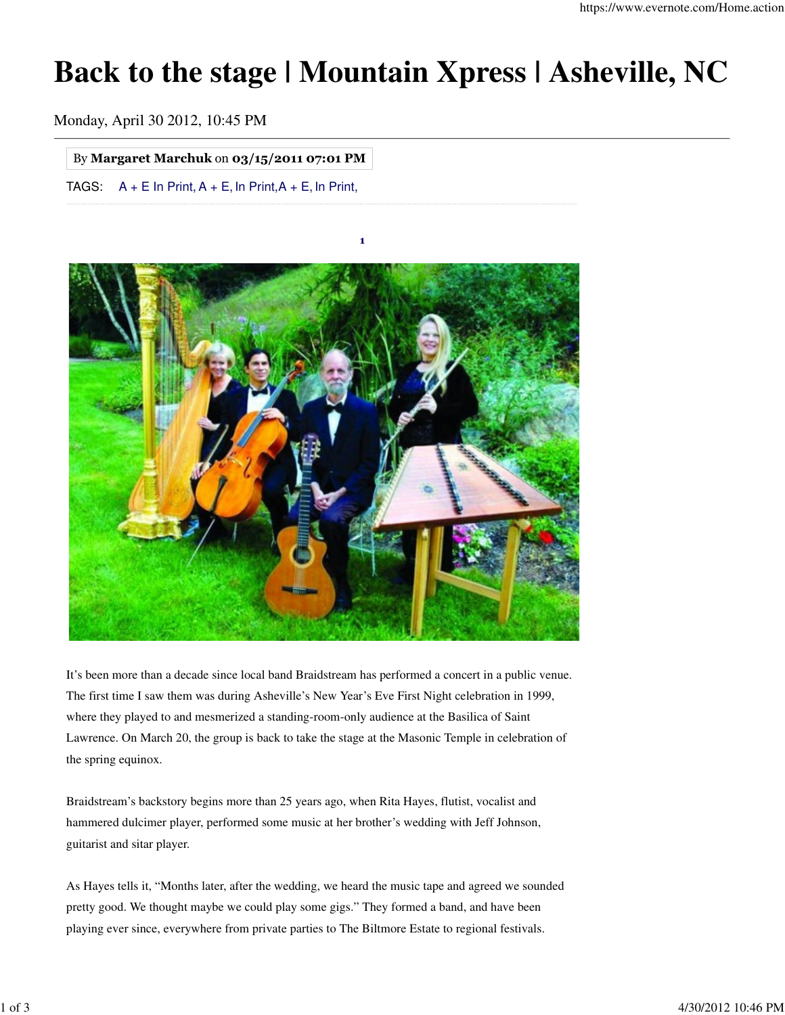## **Back to the stage | Mountain Xpress | Asheville, NC**

Monday, April 30 2012, 10:45 PM

## By Margaret Marchuk on 03/15/2011 07:01 PM

TAGS:  $A + E$  In Print,  $A + E$ , In Print,  $A + E$ , In Print,



It's been more than a decade since local band Braidstream has performed a concert in a public venue. The first time I saw them was during Asheville's New Year's Eve First Night celebration in 1999, where they played to and mesmerized a standing-room-only audience at the Basilica of Saint Lawrence. On March 20, the group is back to take the stage at the Masonic Temple in celebration of the spring equinox.

Braidstream's backstory begins more than 25 years ago, when Rita Hayes, flutist, vocalist and hammered dulcimer player, performed some music at her brother's wedding with Jeff Johnson, guitarist and sitar player.

As Hayes tells it, "Months later, after the wedding, we heard the music tape and agreed we sounded pretty good. We thought maybe we could play some gigs." They formed a band, and have been playing ever since, everywhere from private parties to The Biltmore Estate to regional festivals.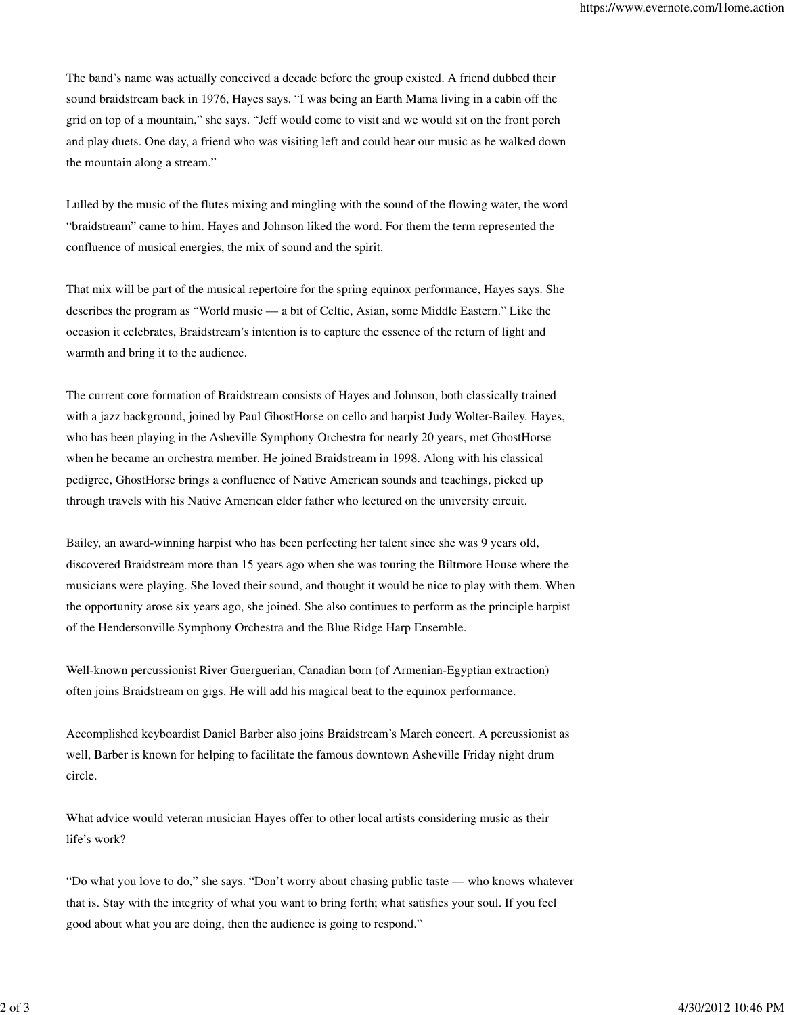The band's name was actually conceived a decade before the group existed. A friend dubbed their sound braidstream back in 1976, Hayes says. "I was being an Earth Mama living in a cabin off the grid on top of a mountain," she says. "Jeff would come to visit and we would sit on the front porch and play duets. One day, a friend who was visiting left and could hear our music as he walked down the mountain along a stream."

Lulled by the music of the flutes mixing and mingling with the sound of the flowing water, the word "braidstream" came to him. Hayes and Johnson liked the word. For them the term represented the confluence of musical energies, the mix of sound and the spirit.

That mix will be part of the musical repertoire for the spring equinox performance, Hayes says. She describes the program as "World music — a bit of Celtic, Asian, some Middle Eastern." Like the occasion it celebrates, Braidstream's intention is to capture the essence of the return of light and warmth and bring it to the audience.

The current core formation of Braidstream consists of Hayes and Johnson, both classically trained with a jazz background, joined by Paul GhostHorse on cello and harpist Judy Wolter-Bailey. Hayes, who has been playing in the Asheville Symphony Orchestra for nearly 20 years, met GhostHorse when he became an orchestra member. He joined Braidstream in 1998. Along with his classical pedigree, GhostHorse brings a confluence of Native American sounds and teachings, picked up through travels with his Native American elder father who lectured on the university circuit.

Bailey, an award-winning harpist who has been perfecting her talent since she was 9 years old, discovered Braidstream more than 15 years ago when she was touring the Biltmore House where the musicians were playing. She loved their sound, and thought it would be nice to play with them. When the opportunity arose six years ago, she joined. She also continues to perform as the principle harpist of the Hendersonville Symphony Orchestra and the Blue Ridge Harp Ensemble.

Well-known percussionist River Guerguerian, Canadian born (of Armenian-Egyptian extraction) often joins Braidstream on gigs. He will add his magical beat to the equinox performance.

Accomplished keyboardist Daniel Barber also joins Braidstream's March concert. A percussionist as well, Barber is known for helping to facilitate the famous downtown Asheville Friday night drum circle.

What advice would veteran musician Hayes offer to other local artists considering music as their life's work?

"Do what you love to do," she says. "Don't worry about chasing public taste — who knows whatever that is. Stay with the integrity of what you want to bring forth; what satisfies your soul. If you feel good about what you are doing, then the audience is going to respond."